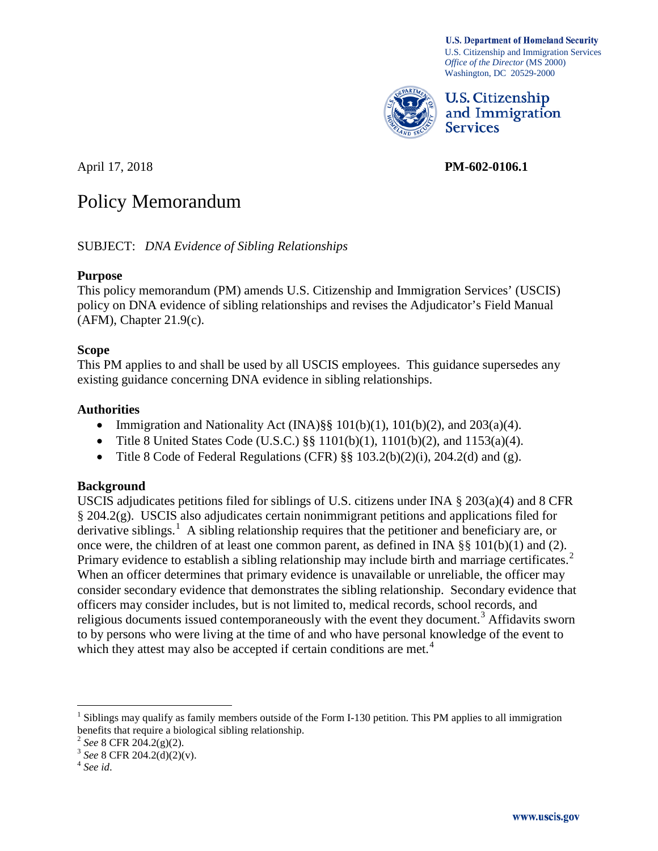**U.S. Department of Homeland Security** U.S. Citizenship and Immigration Services *Office of the Director* (MS 2000) Washington, DC 20529-2000



**U.S. Citizenship** and Immigration **Services** 

April 17, 2018 **PM-602-0106.1**

# Policy Memorandum

SUBJECT: *DNA Evidence of Sibling Relationships*

#### **Purpose**

This policy memorandum (PM) amends U.S. Citizenship and Immigration Services' (USCIS) policy on DNA evidence of sibling relationships and revises the Adjudicator's Field Manual (AFM), Chapter 21.9(c).

# **Scope**

This PM applies to and shall be used by all USCIS employees. This guidance supersedes any existing guidance concerning DNA evidence in sibling relationships.

# **Authorities**

- Immigration and Nationality Act (INA) $\S\S 101(b)(1)$ ,  $101(b)(2)$ , and  $203(a)(4)$ .
- Title 8 United States Code (U.S.C.) §§ 1101(b)(1), 1101(b)(2), and 1153(a)(4).
- Title 8 Code of Federal Regulations (CFR)  $\S\S 103.2(b)(2)(i)$ , 204.2(d) and (g).

# **Background**

USCIS adjudicates petitions filed for siblings of U.S. citizens under INA  $\S 203(a)(4)$  and 8 CFR § 204.2(g). USCIS also adjudicates certain nonimmigrant petitions and applications filed for derivative siblings.<sup>1</sup> A sibling relationship requires that the petitioner and beneficiary are, or once were, the children of at least one common parent, as defined in INA §§ 101(b)(1) and (2). Primary evidence to establish a sibling relationship may include birth and marriage certificates.<sup>2</sup> When an officer determines that primary evidence is unavailable or unreliable, the officer may consider secondary evidence that demonstrates the sibling relationship. Secondary evidence that officers may consider includes, but is not limited to, medical records, school records, and religious documents issued contemporaneously with the event they document.<sup>3</sup> Affidavits sworn to by persons who were living at the time of and who have personal knowledge of the event to which they attest may also be accepted if certain conditions are met.<sup>4</sup>

 $<sup>1</sup>$  Siblings may qualify as family members outside of the Form I-130 petition. This PM applies to all immigration</sup> benefits that require a biological sibling relationship.<br> $\frac{2 \text{ See } 8 \text{ CFR } 204.2(g)(2)}$ .

<sup>2</sup> *See* 8 CFR 204.2(g)(2). <sup>3</sup> *See* 8 CFR 204.2(d)(2)(v). <sup>4</sup> *See id*.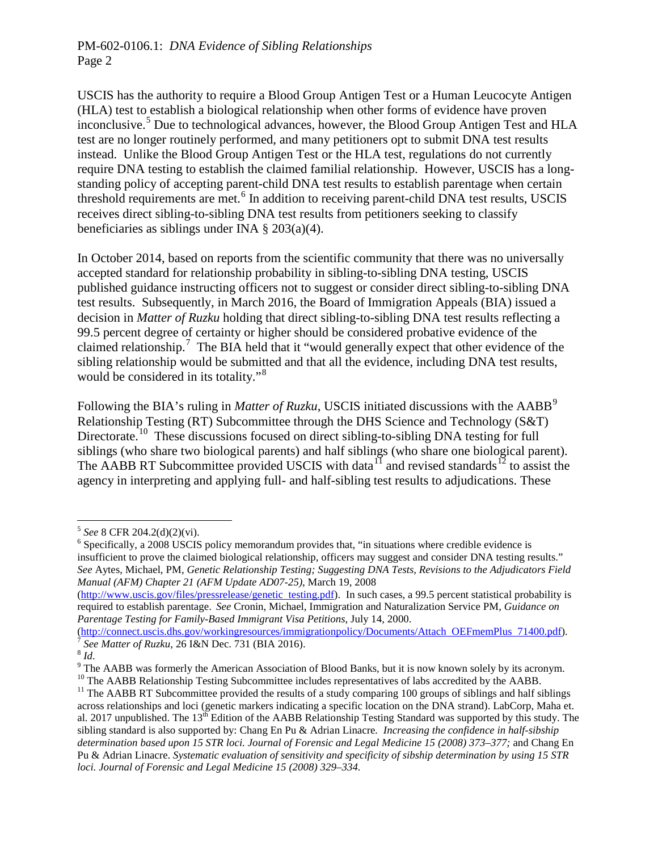USCIS has the authority to require a Blood Group Antigen Test or a Human Leucocyte Antigen (HLA) test to establish a biological relationship when other forms of evidence have proven inconclusive.<sup>5</sup> Due to technological advances, however, the Blood Group Antigen Test and HLA test are no longer routinely performed, and many petitioners opt to submit DNA test results instead. Unlike the Blood Group Antigen Test or the HLA test, regulations do not currently require DNA testing to establish the claimed familial relationship. However, USCIS has a longstanding policy of accepting parent-child DNA test results to establish parentage when certain threshold requirements are met.<sup>6</sup> In addition to receiving parent-child DNA test results, USCIS receives direct sibling-to-sibling DNA test results from petitioners seeking to classify beneficiaries as siblings under INA § 203(a)(4).

In October 2014, based on reports from the scientific community that there was no universally accepted standard for relationship probability in sibling-to-sibling DNA testing, USCIS published guidance instructing officers not to suggest or consider direct sibling-to-sibling DNA test results. Subsequently, in March 2016, the Board of Immigration Appeals (BIA) issued a decision in *Matter of Ruzku* holding that direct sibling-to-sibling DNA test results reflecting a 99.5 percent degree of certainty or higher should be considered probative evidence of the claimed relationship.<sup>7</sup> The BIA held that it "would generally expect that other evidence of the sibling relationship would be submitted and that all the evidence, including DNA test results, would be considered in its totality."<sup>8</sup>

Following the BIA's ruling in *Matter of Ruzku*, USCIS initiated discussions with the AABB<sup>9</sup> Relationship Testing (RT) Subcommittee through the DHS Science and Technology (S&T) Directorate.<sup>10</sup> These discussions focused on direct sibling-to-sibling DNA testing for full siblings (who share two biological parents) and half siblings (who share one biological parent). The AABB RT Subcommittee provided USCIS with data<sup>11</sup> and revised standards<sup>12</sup> to assist the agency in interpreting and applying full- and half-sibling test results to adjudications. These

 $5$  See 8 CFR 204.2(d)(2)(vi).

<sup>&</sup>lt;sup>6</sup> Specifically, a 2008 USCIS policy memorandum provides that, "in situations where credible evidence is insufficient to prove the claimed biological relationship, officers may suggest and consider DNA testing results." *See* Aytes, Michael, PM, *Genetic Relationship Testing; Suggesting DNA Tests, Revisions to the Adjudicators Field Manual (AFM) Chapter 21 (AFM Update AD07-25)*, March 19, 2008

<sup>(</sup>http://www.uscis.gov/files/pressrelease/genetic testing.pdf). In such cases, a 99.5 percent statistical probability is required to establish parentage. *See* Cronin, Michael, Immigration and Naturalization Service PM, *Guidance on Parentage Testing for Family-Based Immigrant Visa Petitions*, July 14, 2000.<br>(http://connect.uscis.dhs.gov/workingresources/immigrationpolicy/Documents/Attach OEFmemPlus 71400.pdf).

<sup>&</sup>lt;sup>7</sup> See Matter of Ruzku, 26 I&N Dec. 731 (BIA 2016).<br><sup>8</sup> Id.<br><sup>9</sup> The AABB was formerly the American Association of Blood Banks, but it is now known solely by its acronym.<br><sup>10</sup> The AABB Relationship Testing Subcommittee in

across relationships and loci (genetic markers indicating a specific location on the DNA strand). LabCorp, Maha et. al. 2017 unpublished. The 13<sup>th</sup> Edition of the AABB Relationship Testing Standard was supported by this study. The sibling standard is also supported by: Chang En Pu & Adrian Linacre*. Increasing the confidence in half-sibship determination based upon 15 STR loci. Journal of Forensic and Legal Medicine 15 (2008) 373–377;* and Chang En Pu & Adrian Linacre. *Systematic evaluation of sensitivity and specificity of sibship determination by using 15 STR loci. Journal of Forensic and Legal Medicine 15 (2008) 329–334.*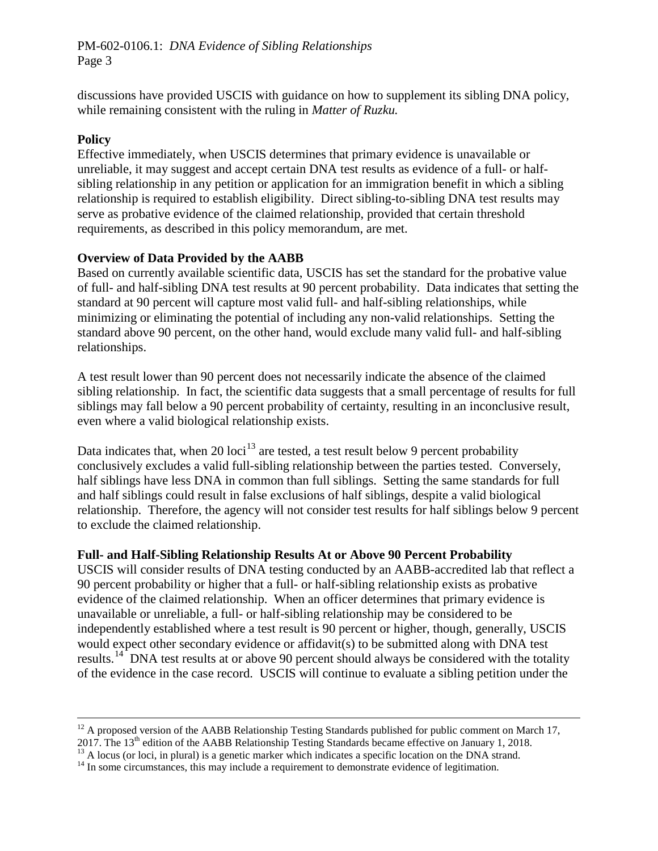discussions have provided USCIS with guidance on how to supplement its sibling DNA policy, while remaining consistent with the ruling in *Matter of Ruzku.*

#### **Policy**

Effective immediately, when USCIS determines that primary evidence is unavailable or unreliable, it may suggest and accept certain DNA test results as evidence of a full- or halfsibling relationship in any petition or application for an immigration benefit in which a sibling relationship is required to establish eligibility. Direct sibling-to-sibling DNA test results may serve as probative evidence of the claimed relationship, provided that certain threshold requirements, as described in this policy memorandum, are met.

#### **Overview of Data Provided by the AABB**

Based on currently available scientific data, USCIS has set the standard for the probative value of full- and half-sibling DNA test results at 90 percent probability. Data indicates that setting the standard at 90 percent will capture most valid full- and half-sibling relationships, while minimizing or eliminating the potential of including any non-valid relationships. Setting the standard above 90 percent, on the other hand, would exclude many valid full- and half-sibling relationships.

A test result lower than 90 percent does not necessarily indicate the absence of the claimed sibling relationship. In fact, the scientific data suggests that a small percentage of results for full siblings may fall below a 90 percent probability of certainty, resulting in an inconclusive result, even where a valid biological relationship exists.

Data indicates that, when 20 loci<sup>13</sup> are tested, a test result below 9 percent probability conclusively excludes a valid full-sibling relationship between the parties tested. Conversely, half siblings have less DNA in common than full siblings. Setting the same standards for full and half siblings could result in false exclusions of half siblings, despite a valid biological relationship. Therefore, the agency will not consider test results for half siblings below 9 percent to exclude the claimed relationship.

#### **Full- and Half-Sibling Relationship Results At or Above 90 Percent Probability**

USCIS will consider results of DNA testing conducted by an AABB-accredited lab that reflect a 90 percent probability or higher that a full- or half-sibling relationship exists as probative evidence of the claimed relationship. When an officer determines that primary evidence is unavailable or unreliable, a full- or half-sibling relationship may be considered to be independently established where a test result is 90 percent or higher, though, generally, USCIS would expect other secondary evidence or affidavit(s) to be submitted along with DNA test results.<sup>14</sup> DNA test results at or above 90 percent should always be considered with the totality of the evidence in the case record. USCIS will continue to evaluate a sibling petition under the

 $12$  A proposed version of the AABB Relationship Testing Standards published for public comment on March 17, 2017. The 13<sup>th</sup> edition of the AABB Relationship Testing Standards became effective on January 1, 2018.<br><sup>13</sup> A locus (or loci, in plural) is a genetic marker which indicates a specific location on the DNA strand.<br><sup>14</sup> In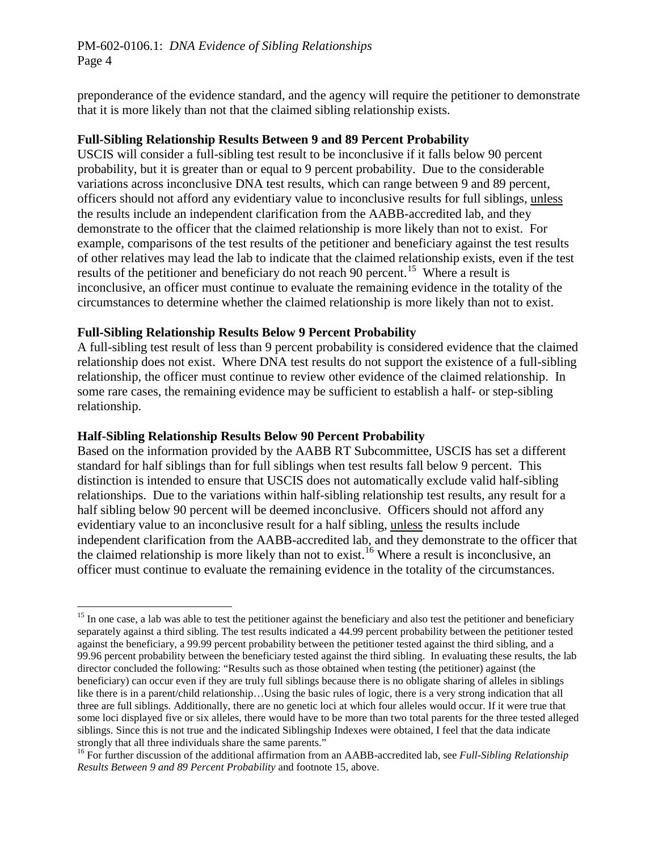preponderance of the evidence standard, and the agency will require the petitioner to demonstrate that it is more likely than not that the claimed sibling relationship exists.

#### **Full-Sibling Relationship Results Between 9 and 89 Percent Probability**

USCIS will consider a full-sibling test result to be inconclusive if it falls below 90 percent probability, but it is greater than or equal to 9 percent probability. Due to the considerable variations across inconclusive DNA test results, which can range between 9 and 89 percent, officers should not afford any evidentiary value to inconclusive results for full siblings, unless the results include an independent clarification from the AABB-accredited lab, and they demonstrate to the officer that the claimed relationship is more likely than not to exist. For example, comparisons of the test results of the petitioner and beneficiary against the test results of other relatives may lead the lab to indicate that the claimed relationship exists, even if the test results of the petitioner and beneficiary do not reach 90 percent.<sup>15</sup> Where a result is inconclusive, an officer must continue to evaluate the remaining evidence in the totality of the circumstances to determine whether the claimed relationship is more likely than not to exist.

#### **Full-Sibling Relationship Results Below 9 Percent Probability**

A full-sibling test result of less than 9 percent probability is considered evidence that the claimed relationship does not exist. Where DNA test results do not support the existence of a full-sibling relationship, the officer must continue to review other evidence of the claimed relationship. In some rare cases, the remaining evidence may be sufficient to establish a half- or step-sibling relationship.

#### **Half-Sibling Relationship Results Below 90 Percent Probability**

Based on the information provided by the AABB RT Subcommittee, USCIS has set a different standard for half siblings than for full siblings when test results fall below 9 percent. This distinction is intended to ensure that USCIS does not automatically exclude valid half-sibling relationships. Due to the variations within half-sibling relationship test results, any result for a half sibling below 90 percent will be deemed inconclusive. Officers should not afford any evidentiary value to an inconclusive result for a half sibling, unless the results include independent clarification from the AABB-accredited lab, and they demonstrate to the officer that the claimed relationship is more likely than not to exist.<sup>16</sup> Where a result is inconclusive, an officer must continue to evaluate the remaining evidence in the totality of the circumstances.

 $15$  In one case, a lab was able to test the petitioner against the beneficiary and also test the petitioner and beneficiary separately against a third sibling. The test results indicated a 44.99 percent probability between the petitioner tested against the beneficiary, a 99.99 percent probability between the petitioner tested against the third sibling, and a 99.96 percent probability between the beneficiary tested against the third sibling. In evaluating these results, the lab director concluded the following: "Results such as those obtained when testing (the petitioner) against (the beneficiary) can occur even if they are truly full siblings because there is no obligate sharing of alleles in siblings like there is in a parent/child relationship…Using the basic rules of logic, there is a very strong indication that all three are full siblings. Additionally, there are no genetic loci at which four alleles would occur. If it were true that some loci displayed five or six alleles, there would have to be more than two total parents for the three tested alleged siblings. Since this is not true and the indicated Siblingship Indexes were obtained, I feel that the data indicate strongly that all three individuals share the same parents."

<sup>16</sup> For further discussion of the additional affirmation from an AABB-accredited lab, see *Full-Sibling Relationship Results Between 9 and 89 Percent Probability* and footnote 15, above.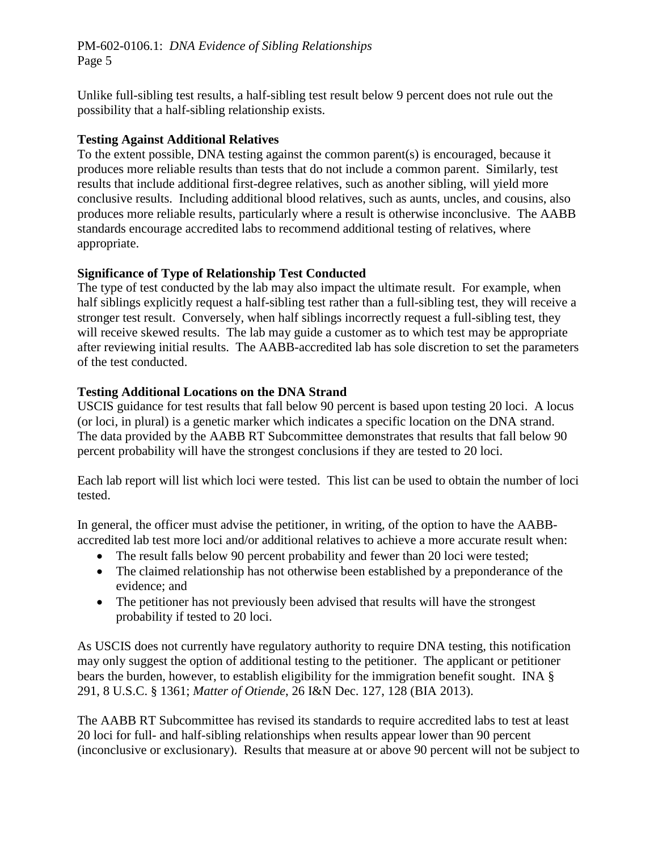Unlike full-sibling test results, a half-sibling test result below 9 percent does not rule out the possibility that a half-sibling relationship exists.

#### **Testing Against Additional Relatives**

To the extent possible, DNA testing against the common parent(s) is encouraged, because it produces more reliable results than tests that do not include a common parent. Similarly, test results that include additional first-degree relatives, such as another sibling, will yield more conclusive results. Including additional blood relatives, such as aunts, uncles, and cousins, also produces more reliable results, particularly where a result is otherwise inconclusive. The AABB standards encourage accredited labs to recommend additional testing of relatives, where appropriate.

#### **Significance of Type of Relationship Test Conducted**

The type of test conducted by the lab may also impact the ultimate result. For example, when half siblings explicitly request a half-sibling test rather than a full-sibling test, they will receive a stronger test result. Conversely, when half siblings incorrectly request a full-sibling test, they will receive skewed results. The lab may guide a customer as to which test may be appropriate after reviewing initial results. The AABB-accredited lab has sole discretion to set the parameters of the test conducted.

#### **Testing Additional Locations on the DNA Strand**

USCIS guidance for test results that fall below 90 percent is based upon testing 20 loci. A locus (or loci, in plural) is a genetic marker which indicates a specific location on the DNA strand. The data provided by the AABB RT Subcommittee demonstrates that results that fall below 90 percent probability will have the strongest conclusions if they are tested to 20 loci.

Each lab report will list which loci were tested. This list can be used to obtain the number of loci tested.

In general, the officer must advise the petitioner, in writing, of the option to have the AABBaccredited lab test more loci and/or additional relatives to achieve a more accurate result when:

- The result falls below 90 percent probability and fewer than 20 loci were tested;
- The claimed relationship has not otherwise been established by a preponderance of the evidence; and
- The petitioner has not previously been advised that results will have the strongest probability if tested to 20 loci.

As USCIS does not currently have regulatory authority to require DNA testing, this notification may only suggest the option of additional testing to the petitioner. The applicant or petitioner bears the burden, however, to establish eligibility for the immigration benefit sought. INA § 291, 8 U.S.C. § 1361; *Matter of Otiende*, 26 I&N Dec. 127, 128 (BIA 2013).

The AABB RT Subcommittee has revised its standards to require accredited labs to test at least 20 loci for full- and half-sibling relationships when results appear lower than 90 percent (inconclusive or exclusionary). Results that measure at or above 90 percent will not be subject to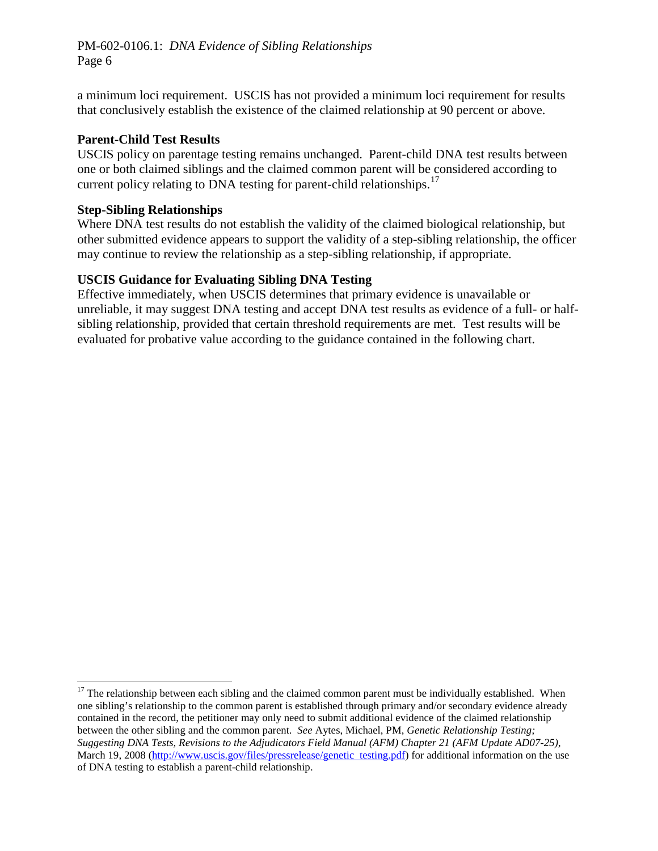a minimum loci requirement. USCIS has not provided a minimum loci requirement for results that conclusively establish the existence of the claimed relationship at 90 percent or above.

#### **Parent-Child Test Results**

USCIS policy on parentage testing remains unchanged. Parent-child DNA test results between one or both claimed siblings and the claimed common parent will be considered according to current policy relating to DNA testing for parent-child relationships.<sup>17</sup>

## **Step-Sibling Relationships**

 $\overline{a}$ 

Where DNA test results do not establish the validity of the claimed biological relationship, but other submitted evidence appears to support the validity of a step-sibling relationship, the officer may continue to review the relationship as a step-sibling relationship, if appropriate.

# **USCIS Guidance for Evaluating Sibling DNA Testing**

Effective immediately, when USCIS determines that primary evidence is unavailable or unreliable, it may suggest DNA testing and accept DNA test results as evidence of a full- or halfsibling relationship, provided that certain threshold requirements are met. Test results will be evaluated for probative value according to the guidance contained in the following chart.

 $17$  The relationship between each sibling and the claimed common parent must be individually established. When one sibling's relationship to the common parent is established through primary and/or secondary evidence already contained in the record, the petitioner may only need to submit additional evidence of the claimed relationship between the other sibling and the common parent. *See* Aytes, Michael, PM, *Genetic Relationship Testing; Suggesting DNA Tests, Revisions to the Adjudicators Field Manual (AFM) Chapter 21 (AFM Update AD07-25)*, March 19, 2008 (http://www.uscis.gov/files/pressrelease/genetic testing.pdf) for additional information on the use of DNA testing to establish a parent-child relationship.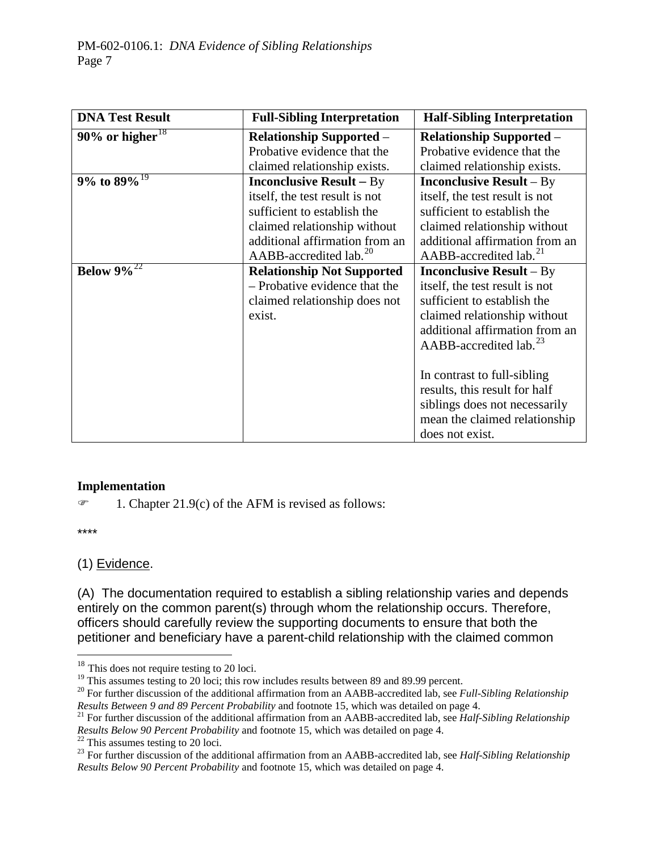| <b>DNA Test Result</b>      | <b>Full-Sibling Interpretation</b><br><b>Half-Sibling Interpretation</b> |                                       |
|-----------------------------|--------------------------------------------------------------------------|---------------------------------------|
| 90% or higher <sup>18</sup> | <b>Relationship Supported -</b>                                          | <b>Relationship Supported –</b>       |
|                             | Probative evidence that the                                              | Probative evidence that the           |
|                             | claimed relationship exists.                                             | claimed relationship exists.          |
| 9% to $89\%$ <sup>19</sup>  | <b>Inconclusive Result – By</b>                                          | <b>Inconclusive Result</b> – By       |
|                             | itself, the test result is not                                           | itself, the test result is not        |
|                             | sufficient to establish the                                              | sufficient to establish the           |
|                             | claimed relationship without                                             | claimed relationship without          |
|                             | additional affirmation from an                                           | additional affirmation from an        |
|                             | $AABB$ -accredited lab. <sup>20</sup>                                    | $AABB$ -accredited lab. <sup>21</sup> |
| Below $9\%^{22}$            | <b>Relationship Not Supported</b>                                        | <b>Inconclusive Result</b> – By       |
|                             | - Probative evidence that the                                            | itself, the test result is not        |
|                             | claimed relationship does not                                            | sufficient to establish the           |
|                             | exist.                                                                   | claimed relationship without          |
|                             |                                                                          | additional affirmation from an        |
|                             |                                                                          | $AABB$ -accredited lab. <sup>23</sup> |
|                             |                                                                          |                                       |
|                             |                                                                          | In contrast to full-sibling           |
|                             |                                                                          | results, this result for half         |
|                             |                                                                          | siblings does not necessarily         |
|                             |                                                                          | mean the claimed relationship         |
|                             |                                                                          | does not exist.                       |

#### **Implementation**

 $\mathcal{F}$  1. Chapter 21.9(c) of the AFM is revised as follows:

\*\*\*\*

#### (1) Evidence.

(A) The documentation required to establish a sibling relationship varies and depends entirely on the common parent(s) through whom the relationship occurs. Therefore, officers should carefully review the supporting documents to ensure that both the petitioner and beneficiary have a parent-child relationship with the claimed common

<sup>&</sup>lt;sup>18</sup> This does not require testing to 20 loci.<br><sup>19</sup> This assumes testing to 20 loci; this row includes results between 89 and 89.99 percent.

<sup>&</sup>lt;sup>20</sup> For further discussion of the additional affirmation from an AABB-accredited lab, see *Full-Sibling Relationship Results Between 9 and 89 Percent Probability* and footnote 15, which was detailed on page 4.

<sup>&</sup>lt;sup>21</sup> For further discussion of the additional affirmation from an AABB-accredited lab, see *Half-Sibling Relationship* Results Below 90 Percent Probability and footnote 15, which was detailed on page 4.<br><sup>22</sup> This assumes testing to 20 loci.<br><sup>23</sup> For further discussion of the additional affirmation from an AABB-accredited lab, see *Half-Sib* 

*Results Below 90 Percent Probability* and footnote 15, which was detailed on page 4.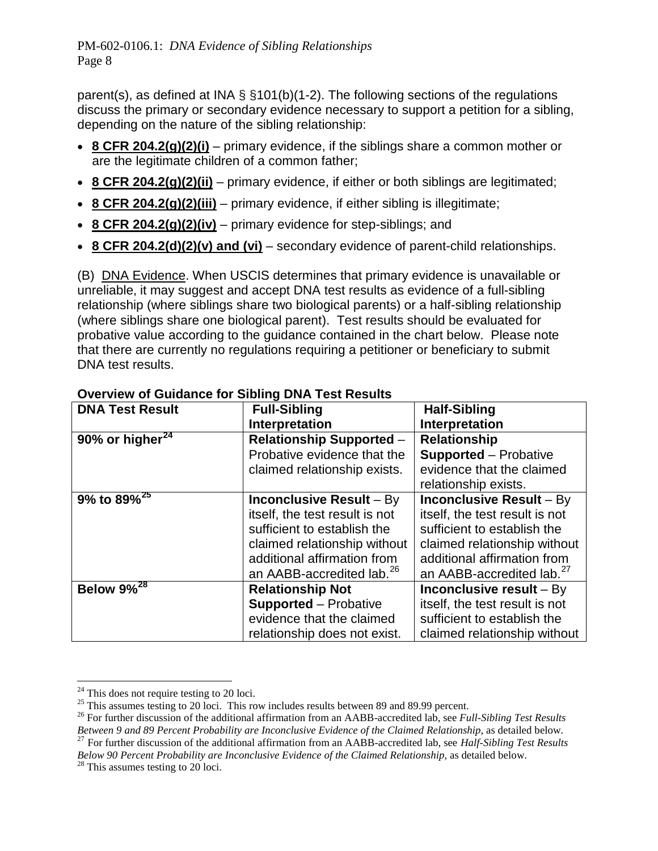parent(s), as defined at INA § §101(b)(1-2). The following sections of the regulations discuss the primary or secondary evidence necessary to support a petition for a sibling, depending on the nature of the sibling relationship:

- **8 CFR 204.2(g)(2)(i)** primary evidence, if the siblings share a common mother or are the legitimate children of a common father;
- **8 CFR 204.2(g)(2)(ii)** primary evidence, if either or both siblings are legitimated;
- **8 CFR 204.2(g)(2)(iii)** primary evidence, if either sibling is illegitimate;
- **8 CFR 204.2(g)(2)(iv)** primary evidence for step-siblings; and
- **8 CFR 204.2(d)(2)(v) and (vi)** secondary evidence of parent-child relationships.

(B) DNA Evidence. When USCIS determines that primary evidence is unavailable or unreliable, it may suggest and accept DNA test results as evidence of a full-sibling relationship (where siblings share two biological parents) or a half-sibling relationship (where siblings share one biological parent). Test results should be evaluated for probative value according to the guidance contained in the chart below. Please note that there are currently no regulations requiring a petitioner or beneficiary to submit DNA test results.

| <b>DNA Test Result</b> | <b>Full-Sibling</b>                                    | <b>Half-Sibling</b>                   |
|------------------------|--------------------------------------------------------|---------------------------------------|
|                        | Interpretation                                         | <b>Interpretation</b>                 |
| 90% or higher $^{24}$  | <b>Relationship</b><br><b>Relationship Supported -</b> |                                       |
|                        | Probative evidence that the                            | <b>Supported - Probative</b>          |
|                        | claimed relationship exists.                           | evidence that the claimed             |
|                        |                                                        | relationship exists.                  |
| $9\%$ to $89\%^{25}$   | <b>Inconclusive Result - By</b>                        | <b>Inconclusive Result - By</b>       |
|                        | itself, the test result is not                         | itself, the test result is not        |
|                        | sufficient to establish the                            | sufficient to establish the           |
|                        | claimed relationship without                           | claimed relationship without          |
|                        | additional affirmation from                            | additional affirmation from           |
|                        | an AABB-accredited lab. <sup>26</sup>                  | an AABB-accredited lab. <sup>27</sup> |
| Below $9\%^{28}$       | <b>Relationship Not</b>                                | Inconclusive result $-$ By            |
|                        | <b>Supported</b> – Probative                           | itself, the test result is not        |
|                        | evidence that the claimed                              | sufficient to establish the           |
|                        | relationship does not exist.                           | claimed relationship without          |

## **Overview of Guidance for Sibling DNA Test Results**

<sup>&</sup>lt;sup>24</sup> This does not require testing to 20 loci.<br><sup>25</sup> This assumes testing to 20 loci. This row includes results between 89 and 89.99 percent.<br><sup>25</sup> For further discussion of the additional affirmation from an AABB-accredite  $^{27}$  For further discussion of the additional affirmation from an AABB-accredited lab, see *Half-Sibling Test Results Below 90 Percent Probability are Inconclusive Evidence of the Claimed Relationship, as detailed below.* <sup>28</sup> This assumes testing to 20 loci.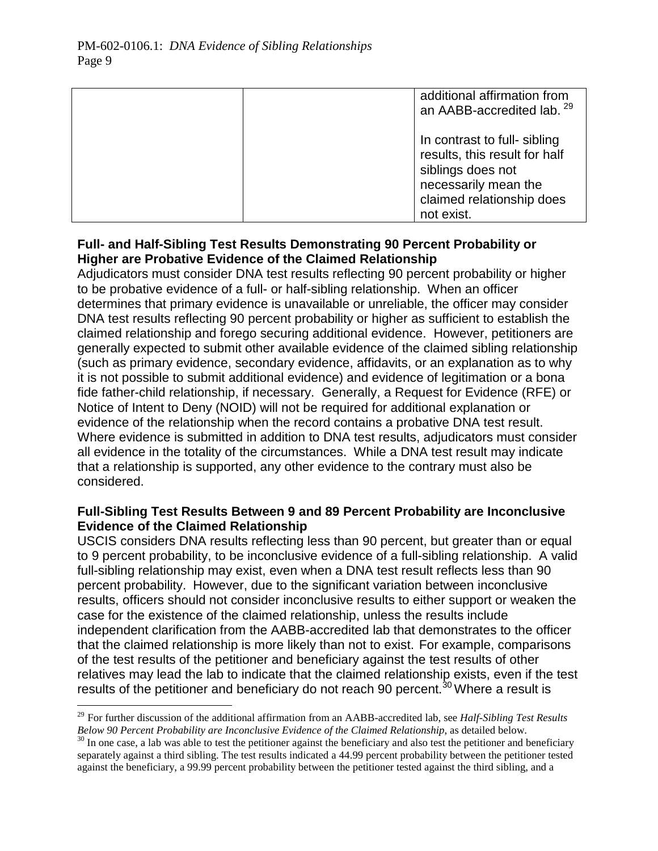| additional affirmation from<br>an AABB-accredited lab. <sup>29</sup>                                                                                  |
|-------------------------------------------------------------------------------------------------------------------------------------------------------|
| In contrast to full- sibling<br>results, this result for half<br>siblings does not<br>necessarily mean the<br>claimed relationship does<br>not exist. |

# **Full- and Half-Sibling Test Results Demonstrating 90 Percent Probability or Higher are Probative Evidence of the Claimed Relationship**

Adjudicators must consider DNA test results reflecting 90 percent probability or higher to be probative evidence of a full- or half-sibling relationship. When an officer determines that primary evidence is unavailable or unreliable, the officer may consider DNA test results reflecting 90 percent probability or higher as sufficient to establish the claimed relationship and forego securing additional evidence. However, petitioners are generally expected to submit other available evidence of the claimed sibling relationship (such as primary evidence, secondary evidence, affidavits, or an explanation as to why it is not possible to submit additional evidence) and evidence of legitimation or a bona fide father-child relationship, if necessary. Generally, a Request for Evidence (RFE) or Notice of Intent to Deny (NOID) will not be required for additional explanation or evidence of the relationship when the record contains a probative DNA test result. Where evidence is submitted in addition to DNA test results, adjudicators must consider all evidence in the totality of the circumstances. While a DNA test result may indicate that a relationship is supported, any other evidence to the contrary must also be considered.

# **Full-Sibling Test Results Between 9 and 89 Percent Probability are Inconclusive Evidence of the Claimed Relationship**

USCIS considers DNA results reflecting less than 90 percent, but greater than or equal to 9 percent probability, to be inconclusive evidence of a full-sibling relationship. A valid full-sibling relationship may exist, even when a DNA test result reflects less than 90 percent probability. However, due to the significant variation between inconclusive results, officers should not consider inconclusive results to either support or weaken the case for the existence of the claimed relationship, unless the results include independent clarification from the AABB-accredited lab that demonstrates to the officer that the claimed relationship is more likely than not to exist. For example, comparisons of the test results of the petitioner and beneficiary against the test results of other relatives may lead the lab to indicate that the claimed relationship exists, even if the test results of the petitioner and beneficiary do not reach 90 percent.<sup>30</sup> Where a result is

<sup>&</sup>lt;sup>29</sup> For further discussion of the additional affirmation from an AABB-accredited lab, see *Half-Sibling Test Results Below 90 Percent Probability are Inconclusive Evidence of the Claimed Relationship*, as detailed below

 $30$  In one case, a lab was able to test the petitioner against the beneficiary and also test the petitioner and beneficiary separately against a third sibling. The test results indicated a 44.99 percent probability between the petitioner tested against the beneficiary, a 99.99 percent probability between the petitioner tested against the third sibling, and a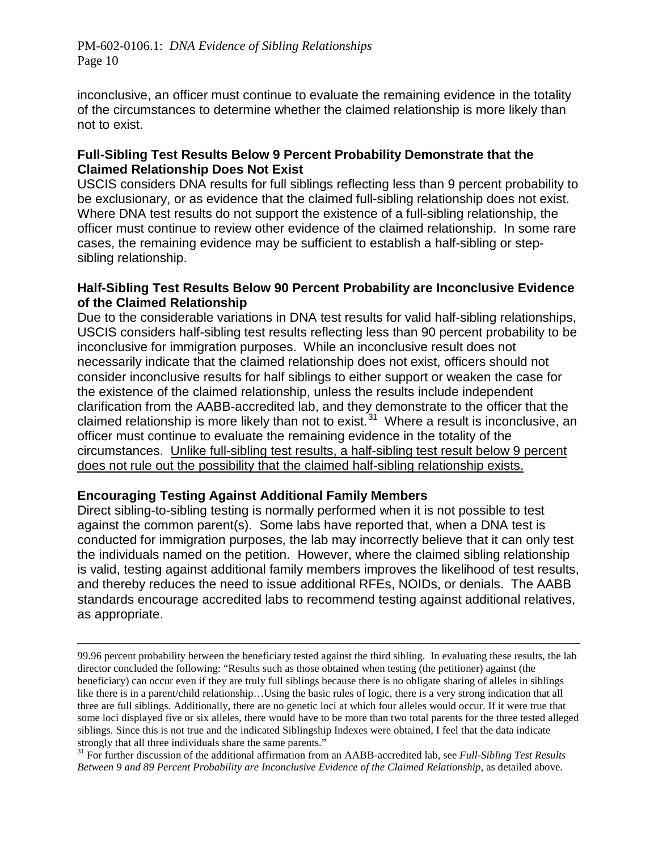inconclusive, an officer must continue to evaluate the remaining evidence in the totality of the circumstances to determine whether the claimed relationship is more likely than not to exist.

# **Full-Sibling Test Results Below 9 Percent Probability Demonstrate that the Claimed Relationship Does Not Exist**

USCIS considers DNA results for full siblings reflecting less than 9 percent probability to be exclusionary, or as evidence that the claimed full-sibling relationship does not exist. Where DNA test results do not support the existence of a full-sibling relationship, the officer must continue to review other evidence of the claimed relationship. In some rare cases, the remaining evidence may be sufficient to establish a half-sibling or stepsibling relationship.

## **Half-Sibling Test Results Below 90 Percent Probability are Inconclusive Evidence of the Claimed Relationship**

Due to the considerable variations in DNA test results for valid half-sibling relationships, USCIS considers half-sibling test results reflecting less than 90 percent probability to be inconclusive for immigration purposes. While an inconclusive result does not necessarily indicate that the claimed relationship does not exist, officers should not consider inconclusive results for half siblings to either support or weaken the case for the existence of the claimed relationship, unless the results include independent clarification from the AABB-accredited lab, and they demonstrate to the officer that the claimed relationship is more likely than not to exist.<sup>31</sup> Where a result is inconclusive, an officer must continue to evaluate the remaining evidence in the totality of the circumstances. Unlike full-sibling test results, a half-sibling test result below 9 percent does not rule out the possibility that the claimed half-sibling relationship exists.

# **Encouraging Testing Against Additional Family Members**

Direct sibling-to-sibling testing is normally performed when it is not possible to test against the common parent(s). Some labs have reported that, when a DNA test is conducted for immigration purposes, the lab may incorrectly believe that it can only test the individuals named on the petition. However, where the claimed sibling relationship is valid, testing against additional family members improves the likelihood of test results, and thereby reduces the need to issue additional RFEs, NOIDs, or denials. The AABB standards encourage accredited labs to recommend testing against additional relatives, as appropriate.

 $\overline{a}$ 99.96 percent probability between the beneficiary tested against the third sibling. In evaluating these results, the lab director concluded the following: "Results such as those obtained when testing (the petitioner) against (the beneficiary) can occur even if they are truly full siblings because there is no obligate sharing of alleles in siblings like there is in a parent/child relationship…Using the basic rules of logic, there is a very strong indication that all three are full siblings. Additionally, there are no genetic loci at which four alleles would occur. If it were true that some loci displayed five or six alleles, there would have to be more than two total parents for the three tested alleged siblings. Since this is not true and the indicated Siblingship Indexes were obtained, I feel that the data indicate strongly that all three individuals share the same parents."

<sup>31</sup> For further discussion of the additional affirmation from an AABB-accredited lab, see *Full-Sibling Test Results Between 9 and 89 Percent Probability are Inconclusive Evidence of the Claimed Relationship*, as detailed above.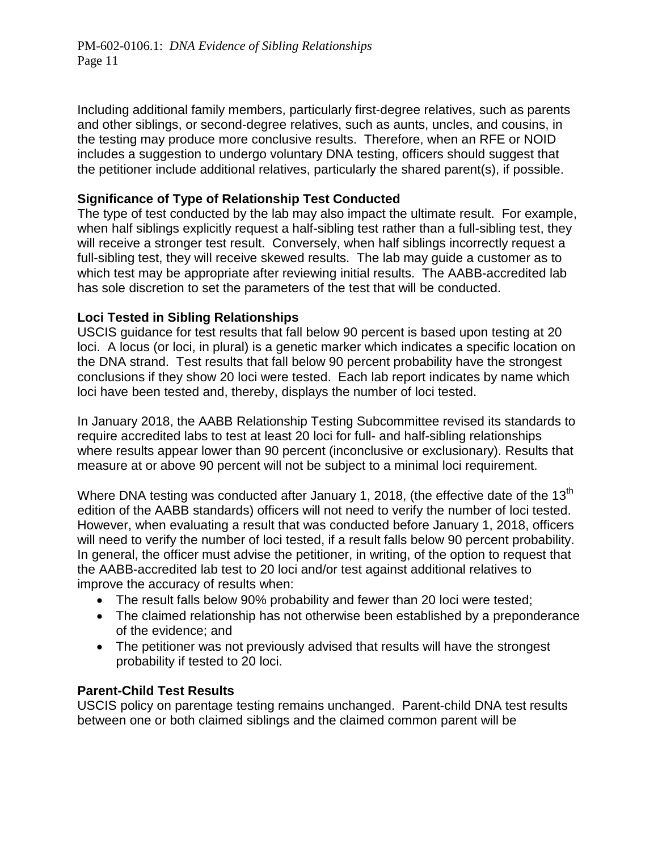Including additional family members, particularly first-degree relatives, such as parents and other siblings, or second-degree relatives, such as aunts, uncles, and cousins, in the testing may produce more conclusive results. Therefore, when an RFE or NOID includes a suggestion to undergo voluntary DNA testing, officers should suggest that the petitioner include additional relatives, particularly the shared parent(s), if possible.

# **Significance of Type of Relationship Test Conducted**

The type of test conducted by the lab may also impact the ultimate result. For example, when half siblings explicitly request a half-sibling test rather than a full-sibling test, they will receive a stronger test result. Conversely, when half siblings incorrectly request a full-sibling test, they will receive skewed results. The lab may guide a customer as to which test may be appropriate after reviewing initial results. The AABB-accredited lab has sole discretion to set the parameters of the test that will be conducted.

#### **Loci Tested in Sibling Relationships**

USCIS guidance for test results that fall below 90 percent is based upon testing at 20 loci. A locus (or loci, in plural) is a genetic marker which indicates a specific location on the DNA strand. Test results that fall below 90 percent probability have the strongest conclusions if they show 20 loci were tested. Each lab report indicates by name which loci have been tested and, thereby, displays the number of loci tested.

In January 2018, the AABB Relationship Testing Subcommittee revised its standards to require accredited labs to test at least 20 loci for full- and half-sibling relationships where results appear lower than 90 percent (inconclusive or exclusionary). Results that measure at or above 90 percent will not be subject to a minimal loci requirement.

Where DNA testing was conducted after January 1, 2018, (the effective date of the 13<sup>th</sup> edition of the AABB standards) officers will not need to verify the number of loci tested. However, when evaluating a result that was conducted before January 1, 2018, officers will need to verify the number of loci tested, if a result falls below 90 percent probability. In general, the officer must advise the petitioner, in writing, of the option to request that the AABB-accredited lab test to 20 loci and/or test against additional relatives to improve the accuracy of results when:

- The result falls below 90% probability and fewer than 20 loci were tested;
- The claimed relationship has not otherwise been established by a preponderance of the evidence; and
- The petitioner was not previously advised that results will have the strongest probability if tested to 20 loci.

#### **Parent-Child Test Results**

USCIS policy on parentage testing remains unchanged. Parent-child DNA test results between one or both claimed siblings and the claimed common parent will be